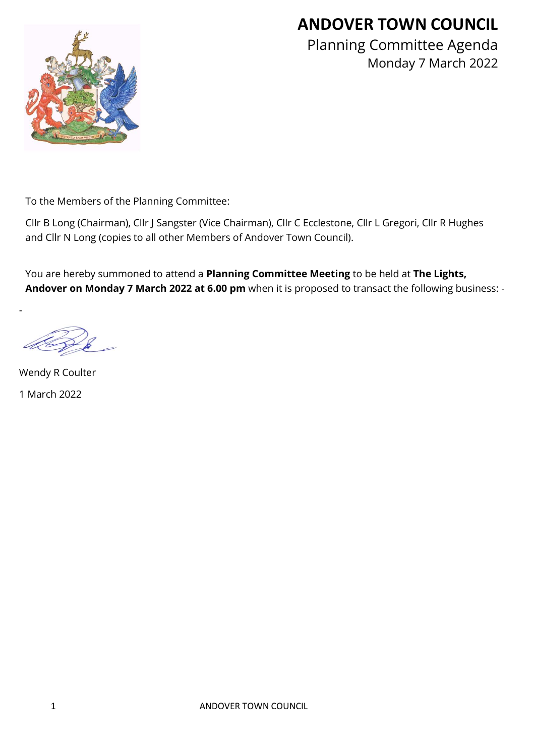# **ANDOVER TOWN COUNCIL**



Planning Committee Agenda Monday 7 March 2022

To the Members of the Planning Committee:

Cllr B Long (Chairman), Cllr J Sangster (Vice Chairman), Cllr C Ecclestone, Cllr L Gregori, Cllr R Hughes and Cllr N Long (copies to all other Members of Andover Town Council).

You are hereby summoned to attend a **Planning Committee Meeting** to be held at **The Lights, Andover on Monday 7 March 2022 at 6.00 pm** when it is proposed to transact the following business: -

-

Wendy R Coulter 1 March 2022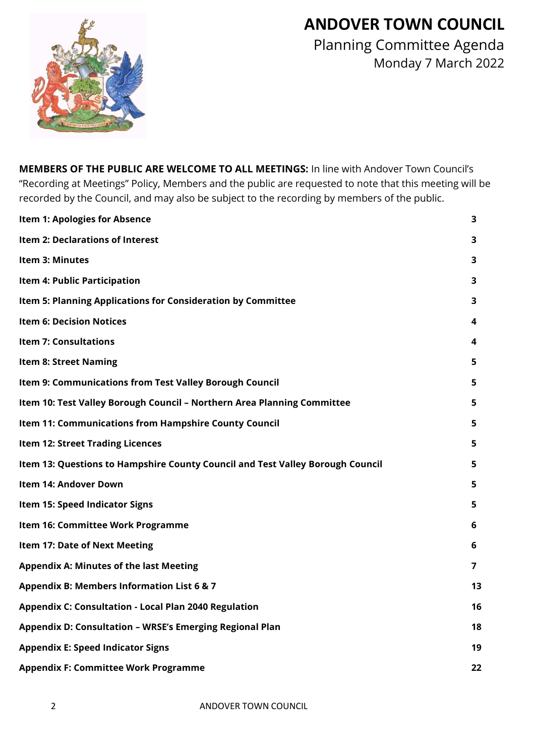# **ANDOVER TOWN COUNCIL**



Planning Committee Agenda Monday 7 March 2022

**MEMBERS OF THE PUBLIC ARE WELCOME TO ALL MEETINGS:** In line with Andover Town Council's "Recording at Meetings" Policy, Members and the public are requested to note that this meeting will be recorded by the Council, and may also be subject to the recording by members of the public.

| <b>Item 1: Apologies for Absence</b>                                           | 3  |
|--------------------------------------------------------------------------------|----|
| Item 2: Declarations of Interest                                               | 3  |
| <b>Item 3: Minutes</b>                                                         | 3  |
| Item 4: Public Participation                                                   | 3  |
| Item 5: Planning Applications for Consideration by Committee                   | 3  |
| <b>Item 6: Decision Notices</b>                                                | 4  |
| <b>Item 7: Consultations</b>                                                   | 4  |
| <b>Item 8: Street Naming</b>                                                   | 5  |
| Item 9: Communications from Test Valley Borough Council                        | 5  |
| Item 10: Test Valley Borough Council - Northern Area Planning Committee        | 5  |
| Item 11: Communications from Hampshire County Council                          | 5  |
| <b>Item 12: Street Trading Licences</b>                                        | 5  |
| Item 13: Questions to Hampshire County Council and Test Valley Borough Council | 5  |
| Item 14: Andover Down                                                          | 5  |
| Item 15: Speed Indicator Signs                                                 | 5  |
| Item 16: Committee Work Programme                                              | 6  |
| Item 17: Date of Next Meeting                                                  | 6  |
| <b>Appendix A: Minutes of the last Meeting</b>                                 | 7  |
| Appendix B: Members Information List 6 & 7                                     | 13 |
| <b>Appendix C: Consultation - Local Plan 2040 Regulation</b>                   | 16 |
| Appendix D: Consultation - WRSE's Emerging Regional Plan                       | 18 |
| <b>Appendix E: Speed Indicator Signs</b>                                       | 19 |
| <b>Appendix F: Committee Work Programme</b>                                    | 22 |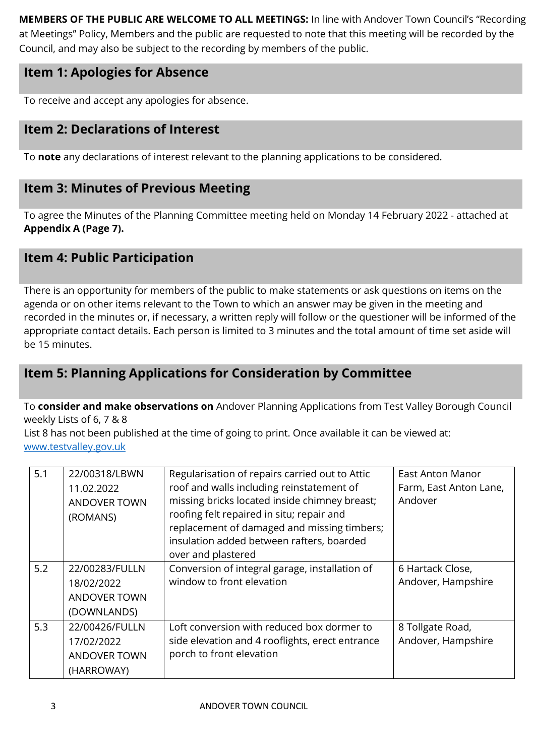**MEMBERS OF THE PUBLIC ARE WELCOME TO ALL MEETINGS:** In line with Andover Town Council's "Recording at Meetings" Policy, Members and the public are requested to note that this meeting will be recorded by the Council, and may also be subject to the recording by members of the public.

# **Item 1: Apologies for Absence**

To receive and accept any apologies for absence.

# **Item 2: Declarations of Interest**

To **note** any declarations of interest relevant to the planning applications to be considered.

# **Item 3: Minutes of Previous Meeting**

To agree the Minutes of the Planning Committee meeting held on Monday 14 February 2022 - attached at **Appendix A (Page 7).**

# **Item 4: Public Participation**

There is an opportunity for members of the public to make statements or ask questions on items on the agenda or on other items relevant to the Town to which an answer may be given in the meeting and recorded in the minutes or, if necessary, a written reply will follow or the questioner will be informed of the appropriate contact details. Each person is limited to 3 minutes and the total amount of time set aside will be 15 minutes.

# **Item 5: Planning Applications for Consideration by Committee**

#### To **consider and make observations on** Andover Planning Applications from Test Valley Borough Council weekly Lists of 6, 7 & 8

List 8 has not been published at the time of going to print. Once available it can be viewed at: [www.testvalley.gov.uk](http://www.testvalley.gov.uk/)

| 5.1 | 22/00318/LBWN<br>11.02.2022<br><b>ANDOVER TOWN</b><br>(ROMANS)     | Regularisation of repairs carried out to Attic<br>roof and walls including reinstatement of<br>missing bricks located inside chimney breast;<br>roofing felt repaired in situ; repair and<br>replacement of damaged and missing timbers;<br>insulation added between rafters, boarded<br>over and plastered | East Anton Manor<br>Farm, East Anton Lane,<br>Andover |
|-----|--------------------------------------------------------------------|-------------------------------------------------------------------------------------------------------------------------------------------------------------------------------------------------------------------------------------------------------------------------------------------------------------|-------------------------------------------------------|
| 5.2 | 22/00283/FULLN<br>18/02/2022<br><b>ANDOVER TOWN</b><br>(DOWNLANDS) | Conversion of integral garage, installation of<br>window to front elevation                                                                                                                                                                                                                                 | 6 Hartack Close,<br>Andover, Hampshire                |
| 5.3 | 22/00426/FULLN<br>17/02/2022<br><b>ANDOVER TOWN</b><br>(HARROWAY)  | Loft conversion with reduced box dormer to<br>side elevation and 4 rooflights, erect entrance<br>porch to front elevation                                                                                                                                                                                   | 8 Tollgate Road,<br>Andover, Hampshire                |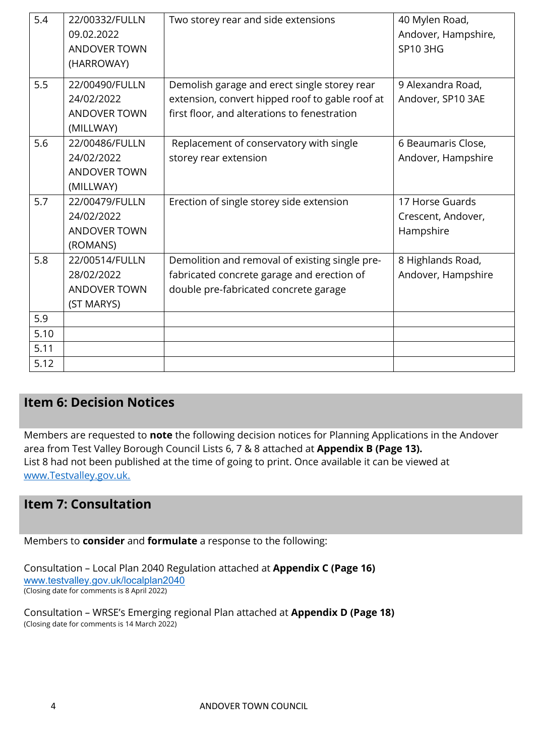| 5.4  | 22/00332/FULLN      | Two storey rear and side extensions             | 40 Mylen Road,      |
|------|---------------------|-------------------------------------------------|---------------------|
|      | 09.02.2022          |                                                 | Andover, Hampshire, |
|      | <b>ANDOVER TOWN</b> |                                                 | <b>SP10 3HG</b>     |
|      | (HARROWAY)          |                                                 |                     |
| 5.5  | 22/00490/FULLN      | Demolish garage and erect single storey rear    | 9 Alexandra Road,   |
|      | 24/02/2022          | extension, convert hipped roof to gable roof at | Andover, SP10 3AE   |
|      | <b>ANDOVER TOWN</b> | first floor, and alterations to fenestration    |                     |
|      | (MILLWAY)           |                                                 |                     |
| 5.6  | 22/00486/FULLN      | Replacement of conservatory with single         | 6 Beaumaris Close,  |
|      | 24/02/2022          | storey rear extension                           | Andover, Hampshire  |
|      | <b>ANDOVER TOWN</b> |                                                 |                     |
|      | (MILLWAY)           |                                                 |                     |
| 5.7  | 22/00479/FULLN      | Erection of single storey side extension        | 17 Horse Guards     |
|      | 24/02/2022          |                                                 | Crescent, Andover,  |
|      | <b>ANDOVER TOWN</b> |                                                 | Hampshire           |
|      | (ROMANS)            |                                                 |                     |
| 5.8  | 22/00514/FULLN      | Demolition and removal of existing single pre-  | 8 Highlands Road,   |
|      | 28/02/2022          | fabricated concrete garage and erection of      | Andover, Hampshire  |
|      | <b>ANDOVER TOWN</b> | double pre-fabricated concrete garage           |                     |
|      | (ST MARYS)          |                                                 |                     |
| 5.9  |                     |                                                 |                     |
| 5.10 |                     |                                                 |                     |
| 5.11 |                     |                                                 |                     |
| 5.12 |                     |                                                 |                     |

## **Item 6: Decision Notices**

Members are requested to **note** the following decision notices for Planning Applications in the Andover area from Test Valley Borough Council Lists 6, 7 & 8 attached at **Appendix B (Page 13).**  List 8 had not been published at the time of going to print. Once available it can be viewed at [www.Testvalley.gov.uk.](http://www.testvalley.gov.uk/)

#### **Item 7: Consultation**

Members to **consider** and **formulate** a response to the following:

Consultation – Local Plan 2040 Regulation attached at **Appendix C (Page 16)** [www.testvalley.gov.uk/localplan2040](https://protect-eu.mimecast.com/s/u1Y8CEZQYsW0Ziw_Z9A?domain=testvalley.gov.uk) (Closing date for comments is 8 April 2022)

Consultation – WRSE's Emerging regional Plan attached at **Appendix D (Page 18)** (Closing date for comments is 14 March 2022)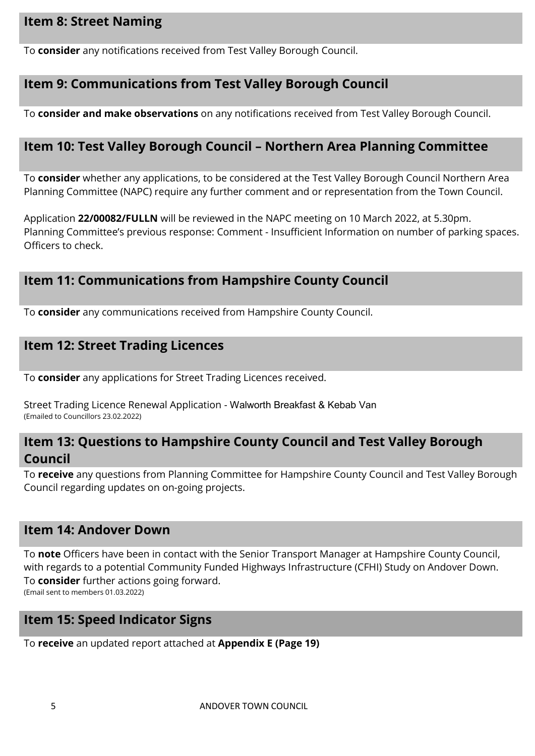## **Item 8: Street Naming**

To **consider** any notifications received from Test Valley Borough Council.

#### **Item 9: Communications from Test Valley Borough Council**

To **consider and make observations** on any notifications received from Test Valley Borough Council.

## **Item 10: Test Valley Borough Council – Northern Area Planning Committee**

To **consider** whether any applications, to be considered at the Test Valley Borough Council Northern Area Planning Committee (NAPC) require any further comment and or representation from the Town Council.

Application **22/00082/FULLN** will be reviewed in the NAPC meeting on 10 March 2022, at 5.30pm. Planning Committee's previous response: Comment - Insufficient Information on number of parking spaces. Officers to check.

## **Item 11: Communications from Hampshire County Council**

To **consider** any communications received from Hampshire County Council.

## **Item 12: Street Trading Licences**

To **consider** any applications for Street Trading Licences received.

Street Trading Licence Renewal Application - Walworth Breakfast & Kebab Van (Emailed to Councillors 23.02.2022)

## **Item 13: Questions to Hampshire County Council and Test Valley Borough Council**

To **receive** any questions from Planning Committee for Hampshire County Council and Test Valley Borough Council regarding updates on on-going projects.

#### **Item 14: Andover Down**

To **note** Officers have been in contact with the Senior Transport Manager at Hampshire County Council, with regards to a potential Community Funded Highways Infrastructure (CFHI) Study on Andover Down. To **consider** further actions going forward.

(Email sent to members 01.03.2022)

### **Item 15: Speed Indicator Signs**

To **receive** an updated report attached at **Appendix E (Page 19)**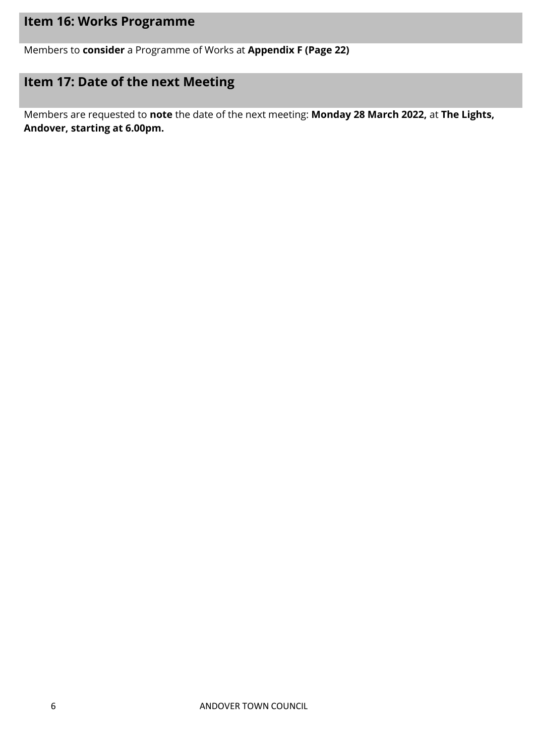# **Item 16: Works Programme**

Members to **consider** a Programme of Works at **Appendix F (Page 22)**

# **Item 17: Date of the next Meeting**

Members are requested to **note** the date of the next meeting: **Monday 28 March 2022,** at **The Lights, Andover, starting at 6.00pm.**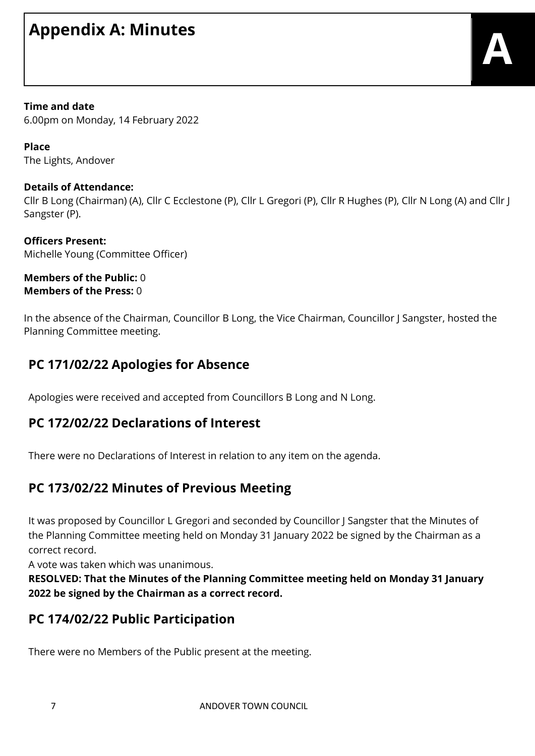# **Appendix A: Minutes**

**Time and date** 6.00pm on Monday, 14 February 2022

**Place** The Lights, Andover

#### **Details of Attendance:**

Cllr B Long (Chairman) (A), Cllr C Ecclestone (P), Cllr L Gregori (P), Cllr R Hughes (P), Cllr N Long (A) and Cllr J Sangster (P).

**Officers Present:** Michelle Young (Committee Officer)

#### **Members of the Public:** 0 **Members of the Press:** 0

In the absence of the Chairman, Councillor B Long, the Vice Chairman, Councillor J Sangster, hosted the Planning Committee meeting.

# **PC 171/02/22 Apologies for Absence**

Apologies were received and accepted from Councillors B Long and N Long.

## **PC 172/02/22 Declarations of Interest**

There were no Declarations of Interest in relation to any item on the agenda.

# **PC 173/02/22 Minutes of Previous Meeting**

It was proposed by Councillor L Gregori and seconded by Councillor J Sangster that the Minutes of the Planning Committee meeting held on Monday 31 January 2022 be signed by the Chairman as a correct record.

A vote was taken which was unanimous.

**RESOLVED: That the Minutes of the Planning Committee meeting held on Monday 31 January 2022 be signed by the Chairman as a correct record.**

## **PC 174/02/22 Public Participation**

There were no Members of the Public present at the meeting.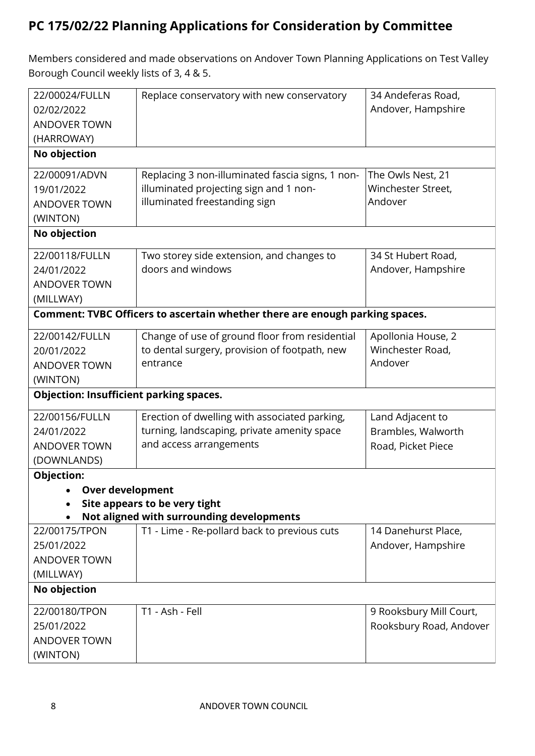# **PC 175/02/22 Planning Applications for Consideration by Committee**

Members considered and made observations on Andover Town Planning Applications on Test Valley Borough Council weekly lists of 3, 4 & 5.

| 22/00024/FULLN                                 | Replace conservatory with new conservatory                                   | 34 Andeferas Road,      |
|------------------------------------------------|------------------------------------------------------------------------------|-------------------------|
| 02/02/2022                                     |                                                                              | Andover, Hampshire      |
| <b>ANDOVER TOWN</b>                            |                                                                              |                         |
| (HARROWAY)                                     |                                                                              |                         |
| No objection                                   |                                                                              |                         |
| 22/00091/ADVN                                  | Replacing 3 non-illuminated fascia signs, 1 non-                             | The Owls Nest, 21       |
| 19/01/2022                                     | illuminated projecting sign and 1 non-                                       | Winchester Street,      |
| <b>ANDOVER TOWN</b>                            | illuminated freestanding sign                                                | Andover                 |
| (WINTON)                                       |                                                                              |                         |
| No objection                                   |                                                                              |                         |
| 22/00118/FULLN                                 | Two storey side extension, and changes to                                    | 34 St Hubert Road,      |
| 24/01/2022                                     | doors and windows                                                            | Andover, Hampshire      |
| <b>ANDOVER TOWN</b>                            |                                                                              |                         |
| (MILLWAY)                                      |                                                                              |                         |
|                                                | Comment: TVBC Officers to ascertain whether there are enough parking spaces. |                         |
| 22/00142/FULLN                                 | Change of use of ground floor from residential                               | Apollonia House, 2      |
| 20/01/2022                                     | to dental surgery, provision of footpath, new                                | Winchester Road,        |
| <b>ANDOVER TOWN</b>                            | entrance                                                                     | Andover                 |
| (WINTON)                                       |                                                                              |                         |
| <b>Objection: Insufficient parking spaces.</b> |                                                                              |                         |
| 22/00156/FULLN                                 | Erection of dwelling with associated parking,                                | Land Adjacent to        |
| 24/01/2022                                     | turning, landscaping, private amenity space                                  | Brambles, Walworth      |
| <b>ANDOVER TOWN</b>                            | and access arrangements                                                      | Road, Picket Piece      |
| (DOWNLANDS)                                    |                                                                              |                         |
| Objection:                                     |                                                                              |                         |
| Over development                               |                                                                              |                         |
|                                                | Site appears to be very tight                                                |                         |
|                                                | Not aligned with surrounding developments                                    |                         |
| 22/00175/TPON                                  | T1 - Lime - Re-pollard back to previous cuts                                 | 14 Danehurst Place,     |
| 25/01/2022                                     |                                                                              | Andover, Hampshire      |
| <b>ANDOVER TOWN</b>                            |                                                                              |                         |
| (MILLWAY)                                      |                                                                              |                         |
| No objection                                   |                                                                              |                         |
| 22/00180/TPON                                  | T1 - Ash - Fell                                                              | 9 Rooksbury Mill Court, |
| 25/01/2022                                     |                                                                              | Rooksbury Road, Andover |
| <b>ANDOVER TOWN</b>                            |                                                                              |                         |
| (WINTON)                                       |                                                                              |                         |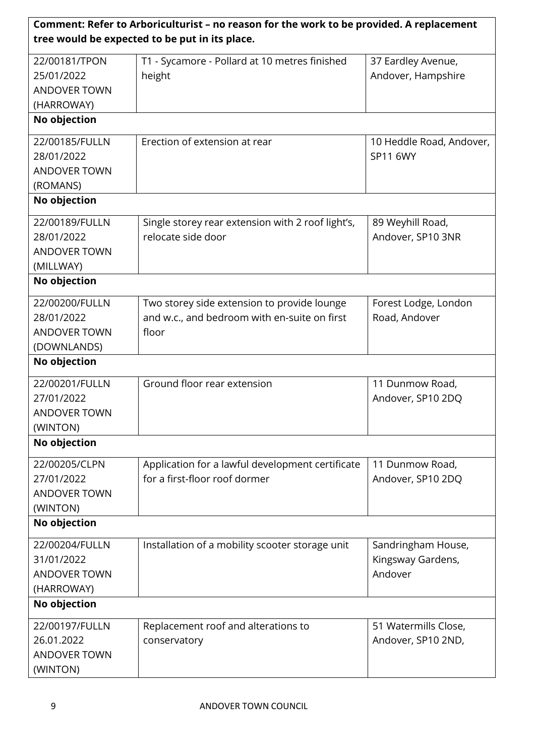| Comment: Refer to Arboriculturist - no reason for the work to be provided. A replacement |                                                   |                          |  |  |
|------------------------------------------------------------------------------------------|---------------------------------------------------|--------------------------|--|--|
|                                                                                          | tree would be expected to be put in its place.    |                          |  |  |
| 22/00181/TPON                                                                            | T1 - Sycamore - Pollard at 10 metres finished     | 37 Eardley Avenue,       |  |  |
| 25/01/2022                                                                               | height                                            | Andover, Hampshire       |  |  |
| <b>ANDOVER TOWN</b>                                                                      |                                                   |                          |  |  |
| (HARROWAY)                                                                               |                                                   |                          |  |  |
| No objection                                                                             |                                                   |                          |  |  |
| 22/00185/FULLN                                                                           | Erection of extension at rear                     | 10 Heddle Road, Andover, |  |  |
| 28/01/2022                                                                               |                                                   | SP11 6WY                 |  |  |
| <b>ANDOVER TOWN</b>                                                                      |                                                   |                          |  |  |
| (ROMANS)                                                                                 |                                                   |                          |  |  |
| No objection                                                                             |                                                   |                          |  |  |
| 22/00189/FULLN                                                                           | Single storey rear extension with 2 roof light's, | 89 Weyhill Road,         |  |  |
| 28/01/2022                                                                               | relocate side door                                | Andover, SP10 3NR        |  |  |
| <b>ANDOVER TOWN</b>                                                                      |                                                   |                          |  |  |
| (MILLWAY)                                                                                |                                                   |                          |  |  |
| No objection                                                                             |                                                   |                          |  |  |
| 22/00200/FULLN                                                                           | Two storey side extension to provide lounge       | Forest Lodge, London     |  |  |
| 28/01/2022                                                                               | and w.c., and bedroom with en-suite on first      | Road, Andover            |  |  |
| <b>ANDOVER TOWN</b>                                                                      | floor                                             |                          |  |  |
| (DOWNLANDS)                                                                              |                                                   |                          |  |  |
| No objection                                                                             |                                                   |                          |  |  |
| 22/00201/FULLN                                                                           | Ground floor rear extension                       | 11 Dunmow Road,          |  |  |
| 27/01/2022                                                                               |                                                   | Andover, SP10 2DQ        |  |  |
| <b>ANDOVER TOWN</b>                                                                      |                                                   |                          |  |  |
| (WINTON)                                                                                 |                                                   |                          |  |  |
| No objection                                                                             |                                                   |                          |  |  |
| 22/00205/CLPN                                                                            | Application for a lawful development certificate  | 11 Dunmow Road,          |  |  |
| 27/01/2022                                                                               | for a first-floor roof dormer                     | Andover, SP10 2DQ        |  |  |
| <b>ANDOVER TOWN</b>                                                                      |                                                   |                          |  |  |
| (WINTON)                                                                                 |                                                   |                          |  |  |
| No objection                                                                             |                                                   |                          |  |  |
| 22/00204/FULLN                                                                           | Installation of a mobility scooter storage unit   | Sandringham House,       |  |  |
| 31/01/2022                                                                               |                                                   | Kingsway Gardens,        |  |  |
| <b>ANDOVER TOWN</b>                                                                      |                                                   | Andover                  |  |  |
| (HARROWAY)                                                                               |                                                   |                          |  |  |
| No objection                                                                             |                                                   |                          |  |  |
| 22/00197/FULLN                                                                           | Replacement roof and alterations to               | 51 Watermills Close,     |  |  |
| 26.01.2022                                                                               | conservatory                                      | Andover, SP10 2ND,       |  |  |
| <b>ANDOVER TOWN</b>                                                                      |                                                   |                          |  |  |
| (WINTON)                                                                                 |                                                   |                          |  |  |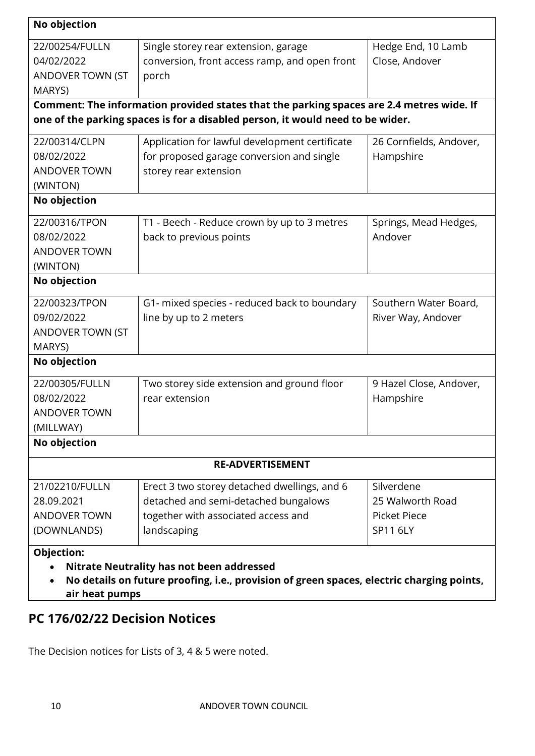| No objection        |                                                                                           |                         |  |  |
|---------------------|-------------------------------------------------------------------------------------------|-------------------------|--|--|
| 22/00254/FULLN      | Single storey rear extension, garage                                                      | Hedge End, 10 Lamb      |  |  |
| 04/02/2022          | Close, Andover<br>conversion, front access ramp, and open front                           |                         |  |  |
| ANDOVER TOWN (ST    | porch                                                                                     |                         |  |  |
| MARYS)              |                                                                                           |                         |  |  |
|                     | Comment: The information provided states that the parking spaces are 2.4 metres wide. If  |                         |  |  |
|                     | one of the parking spaces is for a disabled person, it would need to be wider.            |                         |  |  |
| 22/00314/CLPN       | Application for lawful development certificate                                            | 26 Cornfields, Andover, |  |  |
| 08/02/2022          | for proposed garage conversion and single                                                 | Hampshire               |  |  |
| <b>ANDOVER TOWN</b> | storey rear extension                                                                     |                         |  |  |
| (WINTON)            |                                                                                           |                         |  |  |
| No objection        |                                                                                           |                         |  |  |
| 22/00316/TPON       | T1 - Beech - Reduce crown by up to 3 metres                                               | Springs, Mead Hedges,   |  |  |
| 08/02/2022          | back to previous points                                                                   | Andover                 |  |  |
| <b>ANDOVER TOWN</b> |                                                                                           |                         |  |  |
| (WINTON)            |                                                                                           |                         |  |  |
| No objection        |                                                                                           |                         |  |  |
| 22/00323/TPON       | G1- mixed species - reduced back to boundary                                              | Southern Water Board,   |  |  |
| 09/02/2022          | line by up to 2 meters                                                                    | River Way, Andover      |  |  |
| ANDOVER TOWN (ST    |                                                                                           |                         |  |  |
| MARYS)              |                                                                                           |                         |  |  |
| No objection        |                                                                                           |                         |  |  |
| 22/00305/FULLN      | Two storey side extension and ground floor                                                | 9 Hazel Close, Andover, |  |  |
| 08/02/2022          | rear extension                                                                            | Hampshire               |  |  |
| <b>ANDOVER TOWN</b> |                                                                                           |                         |  |  |
| (MILLWAY)           |                                                                                           |                         |  |  |
| No objection        |                                                                                           |                         |  |  |
|                     | <b>RE-ADVERTISEMENT</b>                                                                   |                         |  |  |
| 21/02210/FULLN      | Erect 3 two storey detached dwellings, and 6                                              | Silverdene              |  |  |
| 28.09.2021          | detached and semi-detached bungalows                                                      | 25 Walworth Road        |  |  |
| <b>ANDOVER TOWN</b> | together with associated access and                                                       | <b>Picket Piece</b>     |  |  |
| (DOWNLANDS)         | landscaping                                                                               | <b>SP11 6LY</b>         |  |  |
| Objection:          |                                                                                           |                         |  |  |
|                     | <b>Nitrate Neutrality has not been addressed</b>                                          |                         |  |  |
|                     | No details on future proofing, i.e., provision of green spaces, electric charging points, |                         |  |  |
| air heat pumps      |                                                                                           |                         |  |  |

# **PC 176/02/22 Decision Notices**

The Decision notices for Lists of 3, 4 & 5 were noted.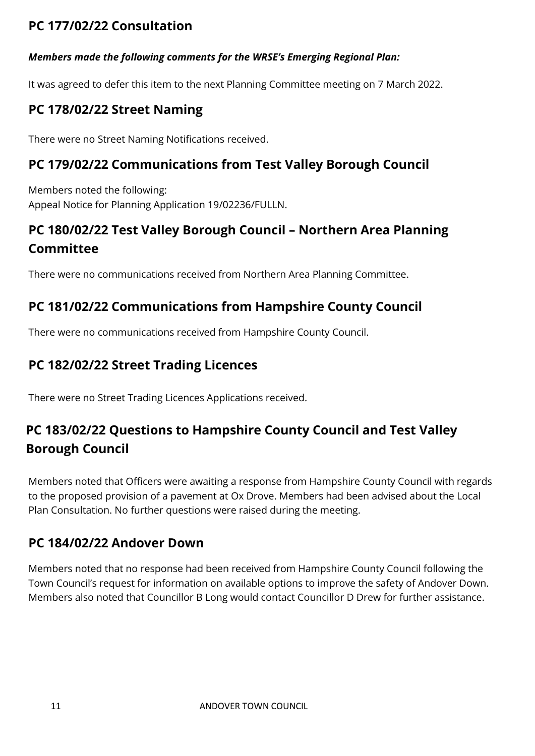# **PC 177/02/22 Consultation**

#### *Members made the following comments for the WRSE's Emerging Regional Plan:*

It was agreed to defer this item to the next Planning Committee meeting on 7 March 2022.

# **PC 178/02/22 Street Naming**

There were no Street Naming Notifications received.

# **PC 179/02/22 Communications from Test Valley Borough Council**

Members noted the following: Appeal Notice for Planning Application 19/02236/FULLN.

# **PC 180/02/22 Test Valley Borough Council – Northern Area Planning Committee**

There were no communications received from Northern Area Planning Committee.

# **PC 181/02/22 Communications from Hampshire County Council**

There were no communications received from Hampshire County Council.

## **PC 182/02/22 Street Trading Licences**

There were no Street Trading Licences Applications received.

# **PC 183/02/22 Questions to Hampshire County Council and Test Valley Borough Council**

Members noted that Officers were awaiting a response from Hampshire County Council with regards to the proposed provision of a pavement at Ox Drove. Members had been advised about the Local Plan Consultation. No further questions were raised during the meeting.

## **PC 184/02/22 Andover Down**

Members noted that no response had been received from Hampshire County Council following the Town Council's request for information on available options to improve the safety of Andover Down. Members also noted that Councillor B Long would contact Councillor D Drew for further assistance.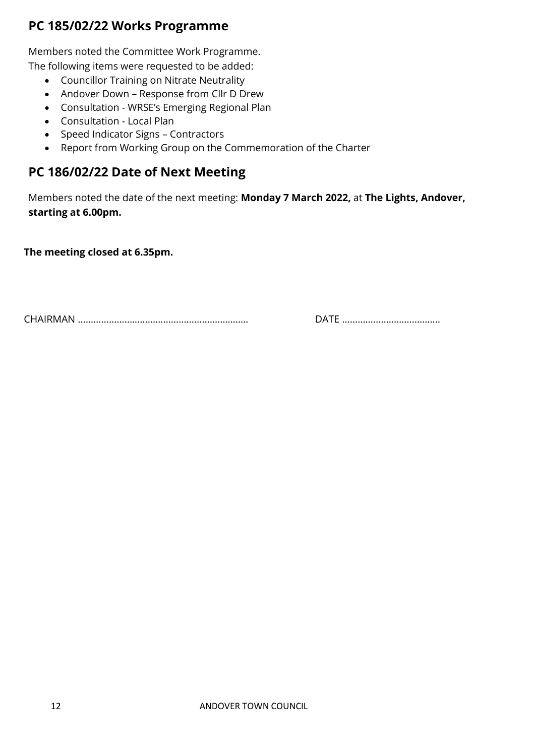# **PC 185/02/22 Works Programme**

Members noted the Committee Work Programme.

The following items were requested to be added:

- Councillor Training on Nitrate Neutrality
- Andover Down Response from Cllr D Drew
- Consultation WRSE's Emerging Regional Plan
- Consultation Local Plan
- Speed Indicator Signs Contractors
- Report from Working Group on the Commemoration of the Charter

## **PC 186/02/22 Date of Next Meeting**

Members noted the date of the next meeting: **Monday 7 March 2022,** at **The Lights, Andover, starting at 6.00pm.**

**The meeting closed at 6.35pm.**

CHAIRMAN ………………………………………………………… DATE ………………………………..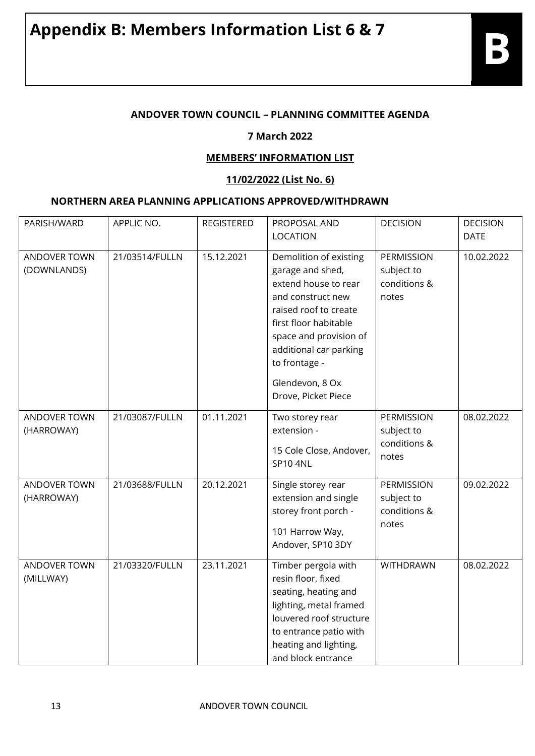#### **ANDOVER TOWN COUNCIL – PLANNING COMMITTEE AGENDA**

#### **7 March 2022**

#### **MEMBERS' INFORMATION LIST**

#### **11/02/2022 (List No. 6)**

#### **NORTHERN AREA PLANNING APPLICATIONS APPROVED/WITHDRAWN**

| PARISH/WARD                       | APPLIC NO.     | <b>REGISTERED</b> | PROPOSAL AND<br><b>LOCATION</b>                                                                                                                                                                                                                          | <b>DECISION</b>                                   | <b>DECISION</b><br><b>DATE</b> |
|-----------------------------------|----------------|-------------------|----------------------------------------------------------------------------------------------------------------------------------------------------------------------------------------------------------------------------------------------------------|---------------------------------------------------|--------------------------------|
| ANDOVER TOWN<br>(DOWNLANDS)       | 21/03514/FULLN | 15.12.2021        | Demolition of existing<br>garage and shed,<br>extend house to rear<br>and construct new<br>raised roof to create<br>first floor habitable<br>space and provision of<br>additional car parking<br>to frontage -<br>Glendevon, 8 Ox<br>Drove, Picket Piece | PERMISSION<br>subject to<br>conditions &<br>notes | 10.02.2022                     |
| <b>ANDOVER TOWN</b><br>(HARROWAY) | 21/03087/FULLN | 01.11.2021        | Two storey rear<br>extension -<br>15 Cole Close, Andover,<br><b>SP10 4NL</b>                                                                                                                                                                             | PERMISSION<br>subject to<br>conditions &<br>notes | 08.02.2022                     |
| ANDOVER TOWN<br>(HARROWAY)        | 21/03688/FULLN | 20.12.2021        | Single storey rear<br>extension and single<br>storey front porch -<br>101 Harrow Way,<br>Andover, SP10 3DY                                                                                                                                               | PERMISSION<br>subject to<br>conditions &<br>notes | 09.02.2022                     |
| <b>ANDOVER TOWN</b><br>(MILLWAY)  | 21/03320/FULLN | 23.11.2021        | Timber pergola with<br>resin floor, fixed<br>seating, heating and<br>lighting, metal framed<br>louvered roof structure<br>to entrance patio with<br>heating and lighting,<br>and block entrance                                                          | <b>WITHDRAWN</b>                                  | 08.02.2022                     |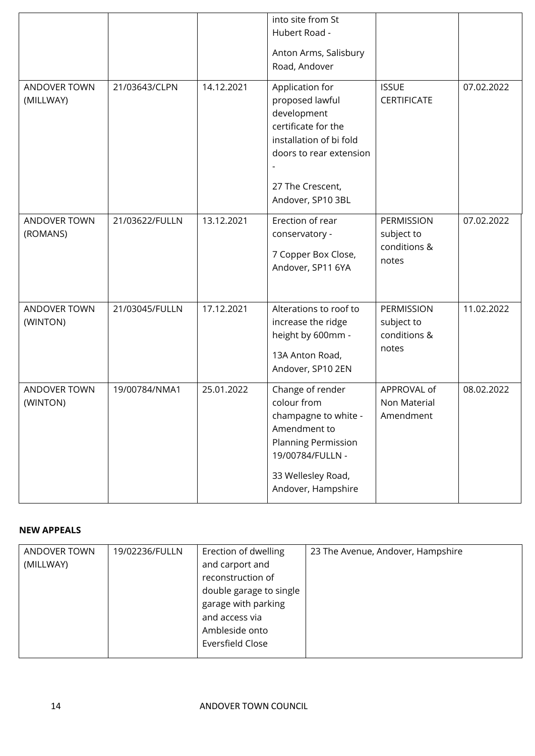|                           |                |            | into site from St<br>Hubert Road -<br>Anton Arms, Salisbury<br>Road, Andover                                                                                            |                                                   |            |
|---------------------------|----------------|------------|-------------------------------------------------------------------------------------------------------------------------------------------------------------------------|---------------------------------------------------|------------|
| ANDOVER TOWN<br>(MILLWAY) | 21/03643/CLPN  | 14.12.2021 | Application for<br>proposed lawful<br>development<br>certificate for the<br>installation of bi fold<br>doors to rear extension<br>27 The Crescent,<br>Andover, SP10 3BL | <b>ISSUE</b><br><b>CERTIFICATE</b>                | 07.02.2022 |
| ANDOVER TOWN<br>(ROMANS)  | 21/03622/FULLN | 13.12.2021 | Erection of rear<br>conservatory -<br>7 Copper Box Close,<br>Andover, SP11 6YA                                                                                          | PERMISSION<br>subject to<br>conditions &<br>notes | 07.02.2022 |
| ANDOVER TOWN<br>(WINTON)  | 21/03045/FULLN | 17.12.2021 | Alterations to roof to<br>increase the ridge<br>height by 600mm -<br>13A Anton Road,<br>Andover, SP10 2EN                                                               | PERMISSION<br>subject to<br>conditions &<br>notes | 11.02.2022 |
| ANDOVER TOWN<br>(WINTON)  | 19/00784/NMA1  | 25.01.2022 | Change of render<br>colour from<br>champagne to white -<br>Amendment to<br><b>Planning Permission</b><br>19/00784/FULLN -<br>33 Wellesley Road,<br>Andover, Hampshire   | APPROVAL of<br>Non Material<br>Amendment          | 08.02.2022 |

#### **NEW APPEALS**

| ANDOVER TOWN | 19/02236/FULLN | Erection of dwelling    | 23 The Avenue, Andover, Hampshire |
|--------------|----------------|-------------------------|-----------------------------------|
| (MILLWAY)    |                | and carport and         |                                   |
|              |                | reconstruction of       |                                   |
|              |                | double garage to single |                                   |
|              |                | garage with parking     |                                   |
|              |                | and access via          |                                   |
|              |                | Ambleside onto          |                                   |
|              |                | Eversfield Close        |                                   |
|              |                |                         |                                   |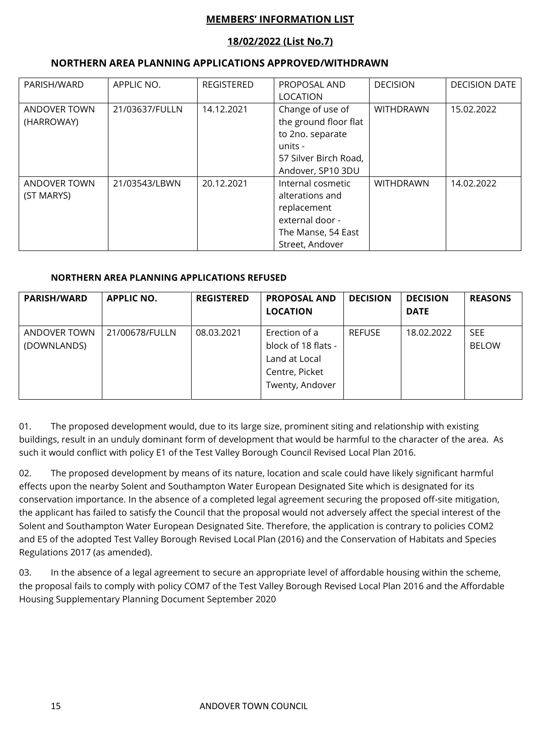#### **MEMBERS' INFORMATION LIST**

#### **18/02/2022 (List No.7)**

#### **NORTHERN AREA PLANNING APPLICATIONS APPROVED/WITHDRAWN**

| PARISH/WARD                | APPLIC NO.     | <b>REGISTERED</b> | PROPOSAL AND<br>LOCATION                                                                                               | <b>DECISION</b>  | <b>DECISION DATE</b> |
|----------------------------|----------------|-------------------|------------------------------------------------------------------------------------------------------------------------|------------------|----------------------|
| ANDOVER TOWN<br>(HARROWAY) | 21/03637/FULLN | 14.12.2021        | Change of use of<br>the ground floor flat<br>to 2no. separate<br>units -<br>57 Silver Birch Road,<br>Andover, SP10 3DU | <b>WITHDRAWN</b> | 15.02.2022           |
| ANDOVER TOWN<br>(ST MARYS) | 21/03543/LBWN  | 20.12.2021        | Internal cosmetic<br>alterations and<br>replacement<br>external door -<br>The Manse, 54 East<br>Street, Andover        | <b>WITHDRAWN</b> | 14.02.2022           |

#### **NORTHERN AREA PLANNING APPLICATIONS REFUSED**

| <b>PARISH/WARD</b>          | <b>APPLIC NO.</b> | <b>REGISTERED</b> | <b>PROPOSAL AND</b><br><b>LOCATION</b>                                                     | <b>DECISION</b> | <b>DECISION</b><br><b>DATE</b> | <b>REASONS</b>             |
|-----------------------------|-------------------|-------------------|--------------------------------------------------------------------------------------------|-----------------|--------------------------------|----------------------------|
| ANDOVER TOWN<br>(DOWNLANDS) | 21/00678/FULLN    | 08.03.2021        | Erection of a<br>block of 18 flats -<br>Land at Local<br>Centre, Picket<br>Twenty, Andover | <b>REFUSE</b>   | 18.02.2022                     | <b>SEE</b><br><b>BELOW</b> |

01. The proposed development would, due to its large size, prominent siting and relationship with existing buildings, result in an unduly dominant form of development that would be harmful to the character of the area. As such it would conflict with policy E1 of the Test Valley Borough Council Revised Local Plan 2016.

02. The proposed development by means of its nature, location and scale could have likely significant harmful effects upon the nearby Solent and Southampton Water European Designated Site which is designated for its conservation importance. In the absence of a completed legal agreement securing the proposed off-site mitigation, the applicant has failed to satisfy the Council that the proposal would not adversely affect the special interest of the Solent and Southampton Water European Designated Site. Therefore, the application is contrary to policies COM2 and E5 of the adopted Test Valley Borough Revised Local Plan (2016) and the Conservation of Habitats and Species Regulations 2017 (as amended).

03. In the absence of a legal agreement to secure an appropriate level of affordable housing within the scheme, the proposal fails to comply with policy COM7 of the Test Valley Borough Revised Local Plan 2016 and the Affordable Housing Supplementary Planning Document September 2020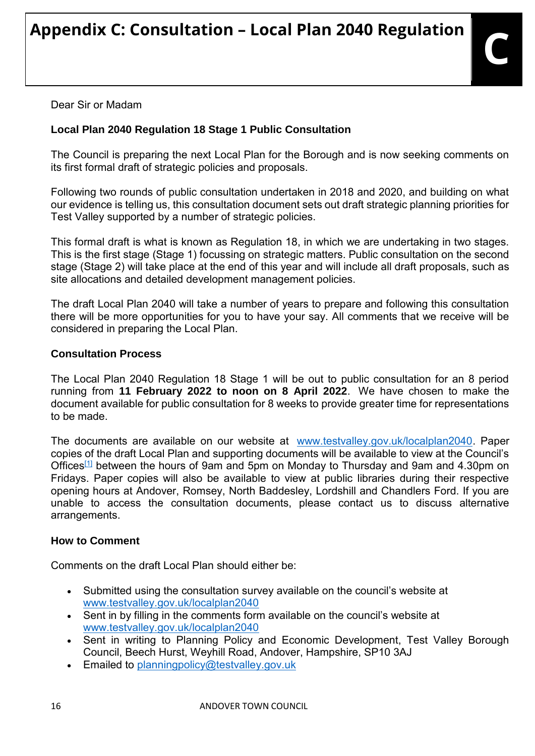Dear Sir or Madam

## **Local Plan 2040 Regulation 18 Stage 1 Public Consultation**

The Council is preparing the next Local Plan for the Borough and is now seeking comments on its first formal draft of strategic policies and proposals.

Following two rounds of public consultation undertaken in 2018 and 2020, and building on what our evidence is telling us, this consultation document sets out draft strategic planning priorities for Test Valley supported by a number of strategic policies.

This formal draft is what is known as Regulation 18, in which we are undertaking in two stages. This is the first stage (Stage 1) focussing on strategic matters. Public consultation on the second stage (Stage 2) will take place at the end of this year and will include all draft proposals, such as site allocations and detailed development management policies.

The draft Local Plan 2040 will take a number of years to prepare and following this consultation there will be more opportunities for you to have your say. All comments that we receive will be considered in preparing the Local Plan.

#### **Consultation Process**

The Local Plan 2040 Regulation 18 Stage 1 will be out to public consultation for an 8 period running from **11 February 2022 to noon on 8 April 2022**. We have chosen to make the document available for public consultation for 8 weeks to provide greater time for representations to be made.

The documents are available on our website at [www.testvalley.gov.uk/localplan2040.](https://protect-eu.mimecast.com/s/u1Y8CEZQYsW0Ziw_Z9A?domain=testvalley.gov.uk) Paper copies of the draft Local Plan and supporting documents will be available to view at the Council's Offices<sup>[\[1\]](https://outlook.office.com/mail/inbox/id/AAMkADk4OTBkMWE0LTA3YzQtNGM2MC1iZjI3LWY3NTA2YjQ1ZDcwYwBGAAAAAADCarLxpdNDS4uwzDCjeATVBwAllxgQ5xZKT6taazcY019aAAAAAAEMAAAllxgQ5xZKT6taazcY019aAAC5khImAAA%3D#x__ftn1)</sup> between the hours of 9am and 5pm on Monday to Thursday and 9am and 4.30pm on Fridays. Paper copies will also be available to view at public libraries during their respective opening hours at Andover, Romsey, North Baddesley, Lordshill and Chandlers Ford. If you are unable to access the consultation documents, please contact us to discuss alternative arrangements.

#### **How to Comment**

Comments on the draft Local Plan should either be:

- Submitted using the consultation survey available on the council's website at [www.testvalley.gov.uk/localplan2040](https://protect-eu.mimecast.com/s/u1Y8CEZQYsW0Ziw_Z9A?domain=testvalley.gov.uk)
- Sent in by filling in the comments form available on the council's website at [www.testvalley.gov.uk/localplan2040](https://protect-eu.mimecast.com/s/u1Y8CEZQYsW0Ziw_Z9A?domain=testvalley.gov.uk)
- . Sent in writing to Planning Policy and Economic Development, Test Valley Borough Council, Beech Hurst, Weyhill Road, Andover, Hampshire, SP10 3AJ
- **Emailed to [planningpolicy@testvalley.gov.uk](mailto:planningpolicy@testvalley.gov.uk)**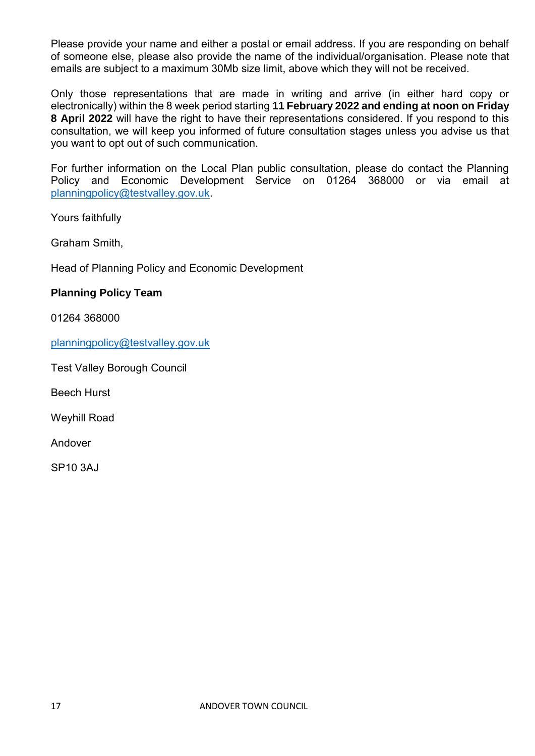Please provide your name and either a postal or email address. If you are responding on behalf of someone else, please also provide the name of the individual/organisation. Please note that emails are subject to a maximum 30Mb size limit, above which they will not be received.

Only those representations that are made in writing and arrive (in either hard copy or electronically) within the 8 week period starting **11 February 2022 and ending at noon on Friday 8 April 2022** will have the right to have their representations considered. If you respond to this consultation, we will keep you informed of future consultation stages unless you advise us that you want to opt out of such communication.

For further information on the Local Plan public consultation, please do contact the Planning Policy and Economic Development Service on 01264 368000 or via email at [planningpolicy@testvalley.gov.uk.](mailto:planningpolicy@testvalley.gov.uk)

Yours faithfully

Graham Smith,

Head of Planning Policy and Economic Development

#### **Planning Policy Team**

01264 368000

[planningpolicy@testvalley.gov.uk](mailto:planningpolicy@testvalley.gov.uk)

Test Valley Borough Council

Beech Hurst

Weyhill Road

Andover

SP10 3AJ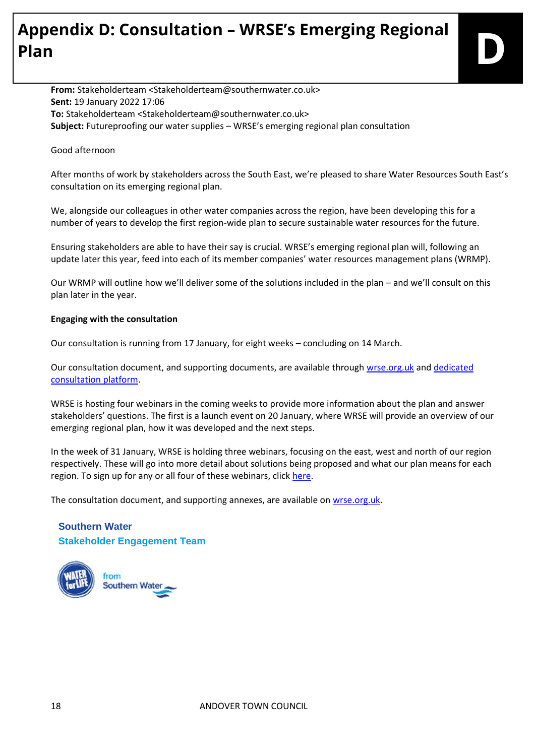# **Appendix D: Consultation – WRSE's Emerging Regional Plan D**

**From:** Stakeholderteam <Stakeholderteam@southernwater.co.uk> **Sent:** 19 January 2022 17:06 **To:** Stakeholderteam <Stakeholderteam@southernwater.co.uk> **Subject:** Futureproofing our water supplies – WRSE's emerging regional plan consultation

#### Good afternoon

After months of work by stakeholders across the South East, we're pleased to share Water Resources South East's consultation on its emerging regional plan.

We, alongside our colleagues in other water companies across the region, have been developing this for a number of years to develop the first region-wide plan to secure sustainable water resources for the future.

Ensuring stakeholders are able to have their say is crucial. WRSE's emerging regional plan will, following an update later this year, feed into each of its member companies' water resources management plans (WRMP).

Our WRMP will outline how we'll deliver some of the solutions included in the plan – and we'll consult on this plan later in the year.

#### **Engaging with the consultation**

Our consultation is running from 17 January, for eight weeks – concluding on 14 March.

Our consultation document, and supporting documents, are available through [wrse.org.uk](https://protect-eu.mimecast.com/s/WNnuCpRV4cnoKiPmwRj?domain=wrse.org.uk/) and dedicated [consultation platform.](https://protect-eu.mimecast.com/s/fcCkCqV8gu8NlUXzR56?domain=wrse.uk.engagementhq.com/)

WRSE is hosting four webinars in the coming weeks to provide more information about the plan and answer stakeholders' questions. The first is a launch event on 20 January, where WRSE will provide an overview of our emerging regional plan, how it was developed and the next steps.

In the week of 31 January, WRSE is holding three webinars, focusing on the east, west and north of our region respectively. These will go into more detail about solutions being proposed and what our plan means for each region. To sign up for any or all four of these webinars, click [here.](https://protect-eu.mimecast.com/s/S4yeCrE7jh8ZoU4tmYg?domain=forms.office.com)

The consultation document, and supporting annexes, are available on [wrse.org.uk.](https://protect-eu.mimecast.com/s/WNnuCpRV4cnoKiPmwRj?domain=wrse.org.uk/)

#### **Southern Water Stakeholder Engagement Team**

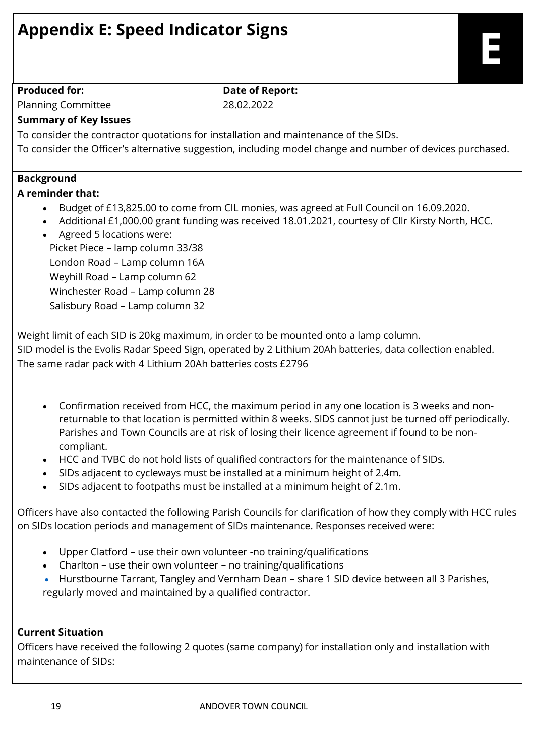| <b>Appendix E: Speed Indicator Signs</b>                                                                                                                                                                                                                                                                                                                                                                                                                                                                                                                                         |                                                                                                                                                                                                         |  |  |  |
|----------------------------------------------------------------------------------------------------------------------------------------------------------------------------------------------------------------------------------------------------------------------------------------------------------------------------------------------------------------------------------------------------------------------------------------------------------------------------------------------------------------------------------------------------------------------------------|---------------------------------------------------------------------------------------------------------------------------------------------------------------------------------------------------------|--|--|--|
| <b>Produced for:</b>                                                                                                                                                                                                                                                                                                                                                                                                                                                                                                                                                             | <b>Date of Report:</b><br>28.02.2022                                                                                                                                                                    |  |  |  |
| <b>Planning Committee</b><br><b>Summary of Key Issues</b>                                                                                                                                                                                                                                                                                                                                                                                                                                                                                                                        |                                                                                                                                                                                                         |  |  |  |
| To consider the contractor quotations for installation and maintenance of the SIDs.                                                                                                                                                                                                                                                                                                                                                                                                                                                                                              |                                                                                                                                                                                                         |  |  |  |
|                                                                                                                                                                                                                                                                                                                                                                                                                                                                                                                                                                                  | To consider the Officer's alternative suggestion, including model change and number of devices purchased.                                                                                               |  |  |  |
|                                                                                                                                                                                                                                                                                                                                                                                                                                                                                                                                                                                  |                                                                                                                                                                                                         |  |  |  |
| <b>Background</b>                                                                                                                                                                                                                                                                                                                                                                                                                                                                                                                                                                |                                                                                                                                                                                                         |  |  |  |
| A reminder that:<br>Agreed 5 locations were:<br>Picket Piece - lamp column 33/38<br>London Road - Lamp column 16A<br>Weyhill Road - Lamp column 62<br>Winchester Road - Lamp column 28<br>Salisbury Road - Lamp column 32                                                                                                                                                                                                                                                                                                                                                        | Budget of £13,825.00 to come from CIL monies, was agreed at Full Council on 16.09.2020.<br>Additional £1,000.00 grant funding was received 18.01.2021, courtesy of Cllr Kirsty North, HCC.              |  |  |  |
| The same radar pack with 4 Lithium 20Ah batteries costs £2796                                                                                                                                                                                                                                                                                                                                                                                                                                                                                                                    | Weight limit of each SID is 20kg maximum, in order to be mounted onto a lamp column.<br>SID model is the Evolis Radar Speed Sign, operated by 2 Lithium 20Ah batteries, data collection enabled.        |  |  |  |
| Confirmation received from HCC, the maximum period in any one location is 3 weeks and non-<br>returnable to that location is permitted within 8 weeks. SIDS cannot just be turned off periodically.<br>Parishes and Town Councils are at risk of losing their licence agreement if found to be non-<br>compliant.<br>HCC and TVBC do not hold lists of qualified contractors for the maintenance of SIDs.<br>SIDs adjacent to cycleways must be installed at a minimum height of 2.4m.<br>$\bullet$<br>SIDs adjacent to footpaths must be installed at a minimum height of 2.1m. |                                                                                                                                                                                                         |  |  |  |
|                                                                                                                                                                                                                                                                                                                                                                                                                                                                                                                                                                                  | Officers have also contacted the following Parish Councils for clarification of how they comply with HCC rules<br>on SIDs location periods and management of SIDs maintenance. Responses received were: |  |  |  |
| Upper Clatford - use their own volunteer -no training/qualifications<br>$\bullet$<br>Charlton - use their own volunteer - no training/qualifications<br>regularly moved and maintained by a qualified contractor.                                                                                                                                                                                                                                                                                                                                                                | Hurstbourne Tarrant, Tangley and Vernham Dean - share 1 SID device between all 3 Parishes,                                                                                                              |  |  |  |

## **Current Situation**

Officers have received the following 2 quotes (same company) for installation only and installation with maintenance of SIDs: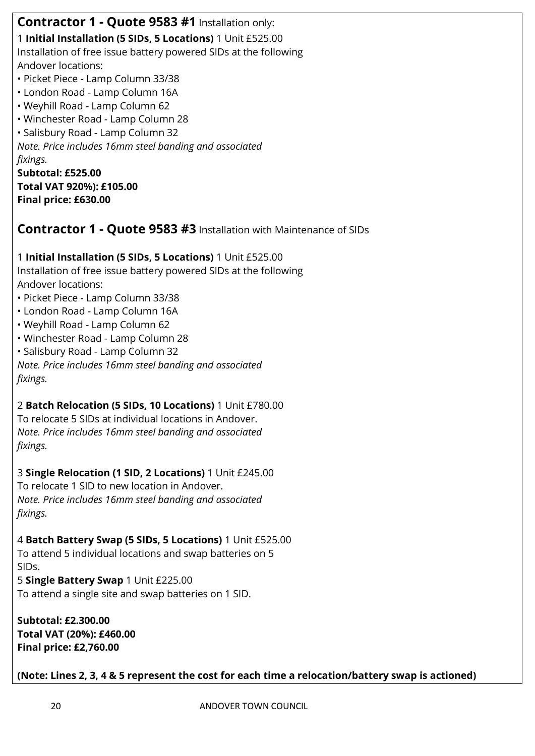**Contractor 1 - Quote 9583 #1** Installation only:

1 **Initial Installation (5 SIDs, 5 Locations)** 1 Unit £525.00 Installation of free issue battery powered SIDs at the following Andover locations:

- Picket Piece Lamp Column 33/38
- London Road Lamp Column 16A
- Weyhill Road Lamp Column 62
- Winchester Road Lamp Column 28
- Salisbury Road Lamp Column 32

*Note. Price includes 16mm steel banding and associated fixings.*

**Subtotal: £525.00 Total VAT 920%): £105.00 Final price: £630.00**

**Contractor 1 - Quote 9583 #3** Installation with Maintenance of SIDs

1 **Initial Installation (5 SIDs, 5 Locations)** 1 Unit £525.00 Installation of free issue battery powered SIDs at the following Andover locations:

- Picket Piece Lamp Column 33/38
- London Road Lamp Column 16A
- Weyhill Road Lamp Column 62
- Winchester Road Lamp Column 28
- Salisbury Road Lamp Column 32

*Note. Price includes 16mm steel banding and associated fixings.*

2 **Batch Relocation (5 SIDs, 10 Locations)** 1 Unit £780.00

To relocate 5 SIDs at individual locations in Andover. *Note. Price includes 16mm steel banding and associated fixings.*

3 **Single Relocation (1 SID, 2 Locations)** 1 Unit £245.00

To relocate 1 SID to new location in Andover. *Note. Price includes 16mm steel banding and associated fixings.*

4 **Batch Battery Swap (5 SIDs, 5 Locations)** 1 Unit £525.00

To attend 5 individual locations and swap batteries on 5 SIDs. 5 **Single Battery Swap** 1 Unit £225.00

To attend a single site and swap batteries on 1 SID.

**Subtotal: £2.300.00 Total VAT (20%): £460.00 Final price: £2,760.00**

**(Note: Lines 2, 3, 4 & 5 represent the cost for each time a relocation/battery swap is actioned)**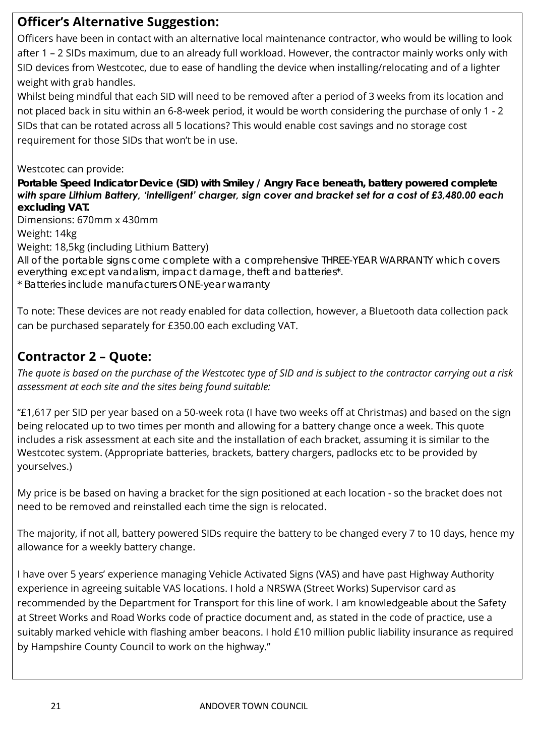## **Officer's Alternative Suggestion:**

Officers have been in contact with an alternative local maintenance contractor, who would be willing to look after 1 – 2 SIDs maximum, due to an already full workload. However, the contractor mainly works only with SID devices from Westcotec, due to ease of handling the device when installing/relocating and of a lighter weight with grab handles.

Whilst being mindful that each SID will need to be removed after a period of 3 weeks from its location and not placed back in situ within an 6-8-week period, it would be worth considering the purchase of only 1 - 2 SIDs that can be rotated across all 5 locations? This would enable cost savings and no storage cost requirement for those SIDs that won't be in use.

#### Westcotec can provide:

*Portable Speed Indicator Device (SID) with Smiley / Angry Face beneath, battery powered complete with spare Lithium Battery, 'intelligent' charger, sign cover and bracket set for a cost of £3,480.00 each excluding VAT.* 

Dimensions: 670mm x 430mm

Weight: 14kg

Weight: 18,5kg (including Lithium Battery)

All of the portable signs come complete with a comprehensive *THREE-YEAR WARRANTY* which covers everything except vandalism, impact damage, theft and batteries\*. \* Batteries include manufacturers ONE-year warranty

To note: These devices are not ready enabled for data collection, however, a Bluetooth data collection pack can be purchased separately for £350.00 each excluding VAT.

## **Contractor 2 – Quote:**

*The quote is based on the purchase of the Westcotec type of SID and is subject to the contractor carrying out a risk assessment at each site and the sites being found suitable:*

"£1,617 per SID per year based on a 50-week rota (I have two weeks off at Christmas) and based on the sign being relocated up to two times per month and allowing for a battery change once a week. This quote includes a risk assessment at each site and the installation of each bracket, assuming it is similar to the Westcotec system. (Appropriate batteries, brackets, battery chargers, padlocks etc to be provided by yourselves.)

My price is be based on having a bracket for the sign positioned at each location - so the bracket does not need to be removed and reinstalled each time the sign is relocated.

The majority, if not all, battery powered SIDs require the battery to be changed every 7 to 10 days, hence my allowance for a weekly battery change.

I have over 5 years' experience managing Vehicle Activated Signs (VAS) and have past Highway Authority experience in agreeing suitable VAS locations. I hold a NRSWA (Street Works) Supervisor card as recommended by the Department for Transport for this line of work. I am knowledgeable about the Safety at Street Works and Road Works code of practice document and, as stated in the code of practice, use a suitably marked vehicle with flashing amber beacons. I hold £10 million public liability insurance as required by Hampshire County Council to work on the highway."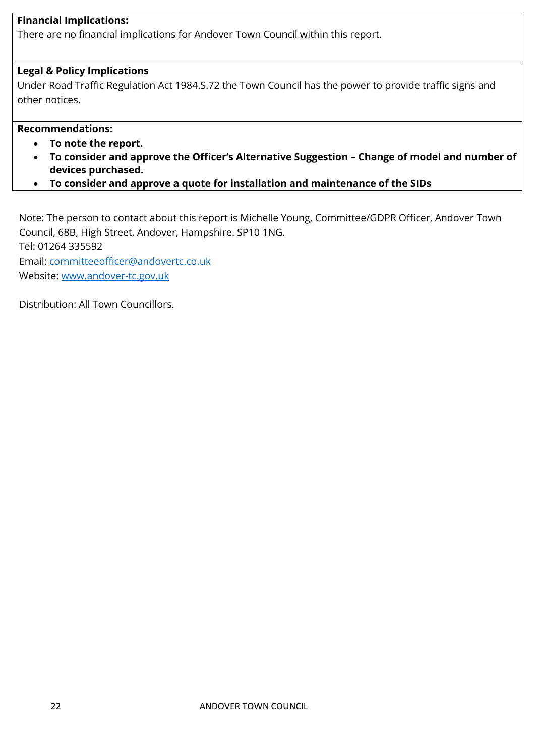#### **Financial Implications:**

There are no financial implications for Andover Town Council within this report.

#### **Legal & Policy Implications**

Under Road Traffic Regulation Act 1984.S.72 the Town Council has the power to provide traffic signs and other notices.

#### **Recommendations:**

- **To note the report.**
- **To consider and approve the Officer's Alternative Suggestion – Change of model and number of devices purchased.**
- **To consider and approve a quote for installation and maintenance of the SIDs**

Note: The person to contact about this report is Michelle Young, Committee/GDPR Officer, Andover Town Council, 68B, High Street, Andover, Hampshire. SP10 1NG. Tel: 01264 335592 Email: [committeeofficer@andovertc.co.uk](mailto:committeeofficer@andovertc.co.uk)  Website: [www.andover-tc.gov.uk](http://www.andover-tc.gov.uk/) 

Distribution: All Town Councillors.